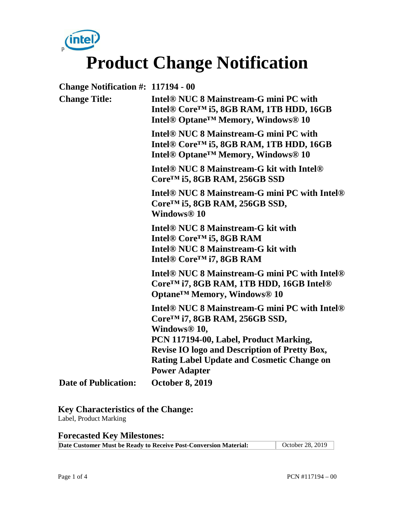

| <b>Change Notification #: 117194 - 00</b> |                                                                                                                                                                                                                                                                                                                               |  |
|-------------------------------------------|-------------------------------------------------------------------------------------------------------------------------------------------------------------------------------------------------------------------------------------------------------------------------------------------------------------------------------|--|
| <b>Change Title:</b>                      | Intel <sup>®</sup> NUC 8 Mainstream-G mini PC with<br>Intel <sup>®</sup> Core <sup>™</sup> i5, 8GB RAM, 1TB HDD, 16GB<br>Intel <sup>®</sup> Optane <sup>™</sup> Memory, Windows <sup>®</sup> 10                                                                                                                               |  |
|                                           | Intel <sup>®</sup> NUC 8 Mainstream-G mini PC with<br>Intel <sup>®</sup> Core <sup>™</sup> i5, 8GB RAM, 1TB HDD, 16GB<br>Intel <sup>®</sup> Optane <sup>™</sup> Memory, Windows <sup>®</sup> 10                                                                                                                               |  |
|                                           | Intel <sup>®</sup> NUC 8 Mainstream-G kit with Intel <sup>®</sup><br>$CoreTM$ i5, 8GB RAM, 256GB SSD                                                                                                                                                                                                                          |  |
|                                           | Intel <sup>®</sup> NUC 8 Mainstream-G mini PC with Intel <sup>®</sup><br>Core <sup>™</sup> i5, 8GB RAM, 256GB SSD,<br>Windows <sup>®</sup> 10                                                                                                                                                                                 |  |
|                                           | Intel <sup>®</sup> NUC 8 Mainstream-G kit with<br>Intel <sup>®</sup> Core <sup>™</sup> i5, 8GB RAM<br>Intel <sup>®</sup> NUC 8 Mainstream-G kit with<br>Intel <sup>®</sup> Core <sup>™</sup> i7, 8GB RAM                                                                                                                      |  |
|                                           | Intel® NUC 8 Mainstream-G mini PC with Intel®<br>Core <sup>™</sup> i7, 8GB RAM, 1TB HDD, 16GB Intel®<br>Optane <sup>™</sup> Memory, Windows <sup>®</sup> 10                                                                                                                                                                   |  |
|                                           | Intel <sup>®</sup> NUC 8 Mainstream-G mini PC with Intel <sup>®</sup><br>Core <sup>™</sup> i7, 8GB RAM, 256GB SSD,<br>Windows <sup>®</sup> 10,<br>PCN 117194-00, Label, Product Marking,<br><b>Revise IO logo and Description of Pretty Box,</b><br><b>Rating Label Update and Cosmetic Change on</b><br><b>Power Adapter</b> |  |
| <b>Date of Publication:</b>               | <b>October 8, 2019</b>                                                                                                                                                                                                                                                                                                        |  |

### **Key Characteristics of the Change:**

Label, Product Marking

#### **Forecasted Key Milestones:**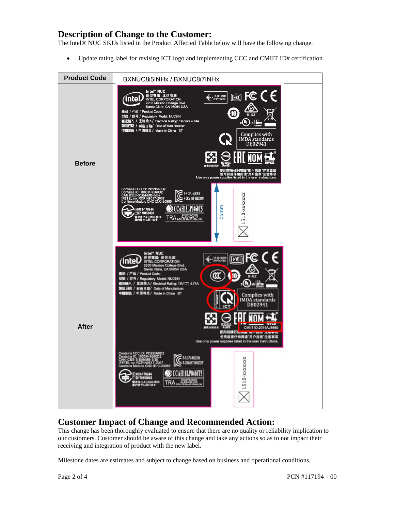#### **Description of Change to the Customer:**

The Intel® NUC SKUs listed in the Product Affected Table below will have the following change.

Update rating label for revising ICT logo and implementing CCC and CMIIT ID# certification.



#### **Customer Impact of Change and Recommended Action:**

This change has been thoroughly evaluated to ensure that there are no quality or reliability implication to our customers. Customer should be aware of this change and take any actions so as to not impact their receiving and integration of product with the new label.

Milestone dates are estimates and subject to change based on business and operational conditions.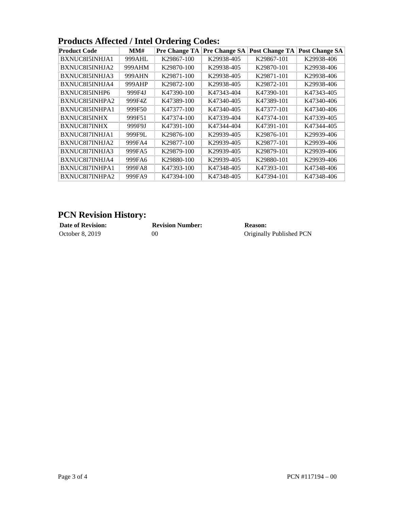| <b>Product Code</b> | MM#    | o<br><b>Pre Change TA</b> | Pre Change SA | <b>Post Change TA</b> | <b>Post Change SA</b> |
|---------------------|--------|---------------------------|---------------|-----------------------|-----------------------|
| BXNUC8I5INHJA1      | 999AHL | K29867-100                | K29938-405    | K29867-101            | K29938-406            |
| BXNUC8I5INHJA2      | 999AHM | K29870-100                | K29938-405    | K29870-101            | K29938-406            |
| BXNUC8I5INHJA3      | 999AHN | K29871-100                | K29938-405    | K29871-101            | K29938-406            |
| BXNUC8I5INHJA4      | 999AHP | K29872-100                | K29938-405    | K29872-101            | K29938-406            |
| BXNUC8I5INHP6       | 999F4J | K47390-100                | K47343-404    | K47390-101            | K47343-405            |
| BXNUC8I5INHPA2      | 999F4Z | K47389-100                | K47340-405    | K47389-101            | K47340-406            |
| BXNUC8I5INHPA1      | 999F50 | K47377-100                | K47340-405    | K47377-101            | K47340-406            |
| <b>BXNUC8I5INHX</b> | 999F51 | K47374-100                | K47339-404    | K47374-101            | K47339-405            |
| BXNUC8I7INHX        | 999F9J | K47391-100                | K47344-404    | K47391-101            | K47344-405            |
| BXNUC8I7INHJA1      | 999F9L | K29876-100                | K29939-405    | K29876-101            | K29939-406            |
| BXNUC8I7INHJA2      | 999FA4 | K29877-100                | K29939-405    | K29877-101            | K29939-406            |
| BXNUC8I7INHJA3      | 999FA5 | K29879-100                | K29939-405    | K29879-101            | K29939-406            |
| BXNUC8I7INHJA4      | 999FA6 | K29880-100                | K29939-405    | K29880-101            | K29939-406            |
| BXNUC8I7INHPA1      | 999FA8 | K47393-100                | K47348-405    | K47393-101            | K47348-406            |
| BXNUC8I7INHPA2      | 999FA9 | K47394-100                | K47348-405    | K47394-101            | K47348-406            |

## **Products Affected / Intel Ordering Codes:**

# **PCN Revision History:**

| <b>Date of Revision:</b> | <b>Revision Number:</b> | <b>Reason:</b>           |
|--------------------------|-------------------------|--------------------------|
| October 8, 2019          | 00                      | Originally Published PCN |